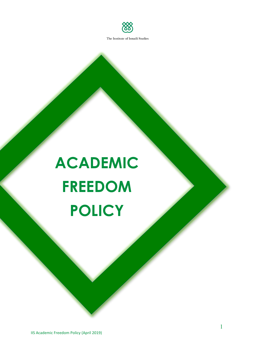

# **ACADEMIC FREEDOM POLICY**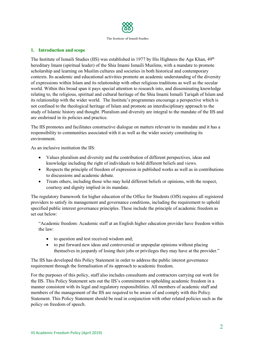

## **1. Introduction and scope**

The Institute of Ismaili Studies (IIS) was established in 1977 by His Highness the Aga Khan,  $49<sup>th</sup>$ hereditary Imam (spiritual leader) of the Shia Imami Ismaili Muslims, with a mandate to promote scholarship and learning on Muslim cultures and societies in both historical and contemporary contexts. Its academic and educational activities promote an academic understanding of the diversity of expressions within Islam and its relationship with other religious traditions as well as the secular world. Within this broad span it pays special attention to research into, and disseminating knowledge relating to, the religious, spiritual and cultural heritage of the Shia Imami Ismaili Tariqah of Islam and its relationship with the wider world. The Institute's programmes encourage a perspective which is not confined to the theological heritage of Islam and promote an interdisciplinary approach to the study of Islamic history and thought. Pluralism and diversity are integral to the mandate of the IIS and are enshrined in its policies and practice.

The IIS promotes and facilitates constructive dialogue on matters relevant to its mandate and it has a responsibility to communities associated with it as well as the wider society constituting its environment.

As an inclusive institution the IIS:

- Values pluralism and diversity and the contribution of different perspectives, ideas and knowledge including the right of individuals to hold different beliefs and views.
- Respects the principle of freedom of expression in published works as well as in contributions to discussions and academic debate.
- Treats others, including those who may hold different beliefs or opinions, with the respect, courtesy and dignity implied in its mandate.

The regulatory framework for higher education of the Office for Students (OfS) requires all registered providers to satisfy its management and governance conditions, including the requirement to uphold specified public interest governance principles. These include the principle of academic freedom as set out below:

"Academic freedom: Academic staff at an English higher education provider have freedom within the law:

- to question and test received wisdom and;
- to put forward new ideas and controversial or unpopular opinions without placing themselves in jeopardy of losing their jobs or privileges they may have at the provider."

The IIS has developed this Policy Statement in order to address the public interest governance requirement through the formalisation of its approach to academic freedom.

For the purposes of this policy, staff also includes consultants and contractors carrying out work for the IIS. This Policy Statement sets out the IIS's commitment to upholding academic freedom in a manner consistent with its legal and regulatory responsibilities. All members of academic staff and members of the management of the IIS are required to be aware of and comply with this Policy Statement. This Policy Statement should be read in conjunction with other related policies such as the policy on freedom of speech.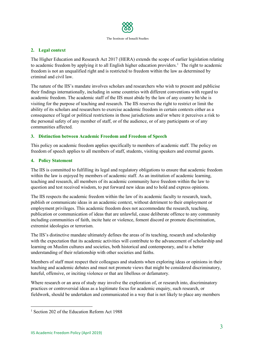

## **2. Legal context**

The Higher Education and Research Act 2017 (HERA) extends the scope of earlier legislation relating to academic freedom by applying it to all English higher education providers.<sup>[1](#page-2-0)</sup> The right to academic freedom is not an unqualified right and is restricted to freedom within the law as determined by criminal and civil law.

The nature of the IIS's mandate involves scholars and researchers who wish to present and publicise their findings internationally, including in some countries with different conventions with regard to academic freedom. The academic staff of the IIS must abide by the law of any country he/she is visiting for the purpose of teaching and research. The IIS reserves the right to restrict or limit the ability of its scholars and researchers to exercise academic freedom in certain contexts either as a consequence of legal or political restrictions in those jurisdictions and/or where it perceives a risk to the personal safety of any member of staff, or of the audience, or of any participants or of any communities affected.

## **3. Distinction between Academic Freedom and Freedom of Speech**

This policy on academic freedom applies specifically to members of academic staff. The policy on freedom of speech applies to all members of staff, students, visiting speakers and external guests.

## **4. Policy Statement**

The IIS is committed to fulfilling its legal and regulatory obligations to ensure that academic freedom within the law is enjoyed by members of academic staff. As an institution of academic learning, teaching and research, all members of its academic community have freedom within the law to question and test received wisdom, to put forward new ideas and to hold and express opinions.

The IIS respects the academic freedom within the law of its academic faculty to research, teach, publish or communicate ideas in an academic context, without detriment to their employment or employment privileges. This academic freedom does not accommodate the research, teaching, publication or communication of ideas that are unlawful, cause deliberate offence to any community including communities of faith, incite hate or violence, foment discord or promote discrimination, extremist ideologies or terrorism.

The IIS's distinctive mandate ultimately defines the areas of its teaching, research and scholarship with the expectation that its academic activities will contribute to the advancement of scholarship and learning on Muslim cultures and societies, both historical and contemporary, and to a better understanding of their relationship with other societies and faiths.

Members of staff must respect their colleagues and students when exploring ideas or opinions in their teaching and academic debates and must not promote views that might be considered discriminatory, hateful, offensive, or inciting violence or that are libellous or defamatory.

Where research or an area of study may involve the exploration of, or research into, discriminatory practices or controversial ideas as a legitimate focus for academic enquiry, such research, or fieldwork, should be undertaken and communicated in a way that is not likely to place any members

 $\overline{a}$ 

<span id="page-2-0"></span><sup>&</sup>lt;sup>1</sup> Section 202 of the Education Reform Act 1988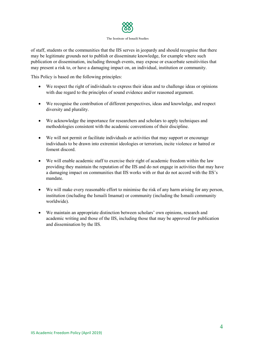

#### The Institute of Ismaili Studies

of staff, students or the communities that the IIS serves in jeopardy and should recognise that there may be legitimate grounds not to publish or disseminate knowledge, for example where such publication or dissemination, including through events, may expose or exacerbate sensitivities that may present a risk to, or have a damaging impact on, an individual, institution or community.

This Policy is based on the following principles:

- We respect the right of individuals to express their ideas and to challenge ideas or opinions with due regard to the principles of sound evidence and/or reasoned argument.
- We recognise the contribution of different perspectives, ideas and knowledge, and respect diversity and plurality.
- We acknowledge the importance for researchers and scholars to apply techniques and methodologies consistent with the academic conventions of their discipline.
- We will not permit or facilitate individuals or activities that may support or encourage individuals to be drawn into extremist ideologies or terrorism, incite violence or hatred or foment discord.
- We will enable academic staff to exercise their right of academic freedom within the law providing they maintain the reputation of the IIS and do not engage in activities that may have a damaging impact on communities that IIS works with or that do not accord with the IIS's mandate.
- We will make every reasonable effort to minimise the risk of any harm arising for any person, institution (including the Ismaili Imamat) or community (including the Ismaili community worldwide).
- We maintain an appropriate distinction between scholars' own opinions, research and academic writing and those of the IIS, including those that may be approved for publication and dissemination by the IIS.